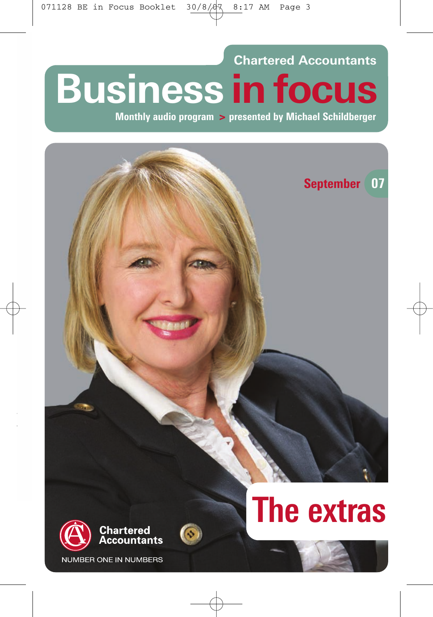**Chartered Accountants Business in focus**

**Monthly audio program > presented by Michael Schildberger**





**JMBER ONE IN NUMBERS** 

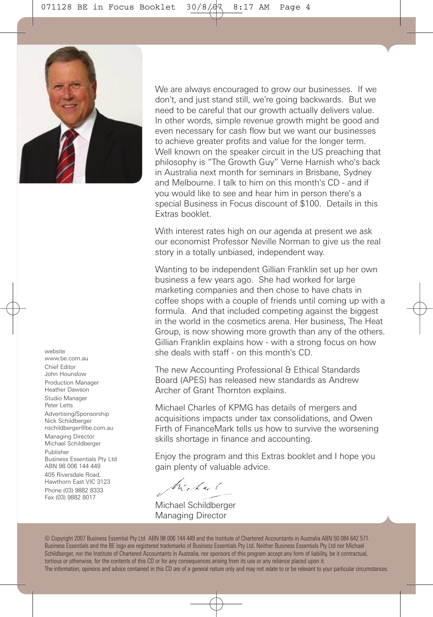

We are always encouraged to grow our businesses. If we don't, and just stand still, we're going backwards. But we need to be careful that our growth actually delivers value. In other words, simple revenue growth might be good and even necessary for cash flow but we want our businesses to achieve greater profits and value for the longer term. Well known on the speaker circuit in the US preaching that philosophy is "The Growth Guy" Verne Harnish who's back in Australia next month for seminars in Brisbane, Sydney and Melbourne. I talk to him on this month's CD - and if you would like to see and hear him in person there's a special Business in Focus discount of \$100. Details in this Extras booklet.

With interest rates high on our agenda at present we ask our economist Professor Neville Norman to give us the real story in a totally unbiased, independent way.

Wanting to be independent Gillian Franklin set up her own business a few years ago. She had worked for large marketing companies and then chose to have chats in coffee shops with a couple of friends until coming up with a formula. And that included competing against the biggest in the world in the cosmetics arena. Her business, The Heat Group, is now showing more growth than any of the others. Gillian Franklin explains how - with a strong focus on how she deals with staff - on this month's CD.

The new Accounting Professional & Ethical Standards Board (APES) has released new standards as Andrew Archer of Grant Thornton explains.

Michael Charles of KPMG has details of mergers and acquisitions impacts under tax consolidations, and Owen Firth of FinanceMark tells us how to survive the worsening skills shortage in finance and accounting.

Enjoy the program and this Extras booklet and I hope you gain plenty of valuable advice.

Michael

Michael Schildberger Managing Director

© Copyright 2007 Business Essential Pty Ltd ABN 98 006 144 449 and the Institute of Chartered Accountants in Australia ABN 50 084 642 571. Business Essentials and the BE logo are registered trademarks of Business Essentials Pty Ltd. Neither Business Essentials Pty Ltd nor Michael Schildberger, nor the Institute of Chartered Accountants in Australia, nor sponsors of this program accept any form of liability, be it contractual, tortious or otherwise, for the contents of this CD or for any consequences arising from its use or any reliance placed upon it. The information, opinions and advice contained in this CD are of a general nature only and may not relate to or be relevant to your particular circumstances.

www.be.com.au Chief Editor John Hounslow Production Manager Heather Dawson Studio Manager Peter Letts Advertising/Sponsorship Nick Schildberger nschildberger@be.com.au Managing Director Michael Schildberger Publisher Business Essentials Pty Ltd ABN 98 006 144 449 405 Riversdale Road, Hawthorn East VIC 3123 Phone (03) 9882 8333 Fax (03) 9882 8017

website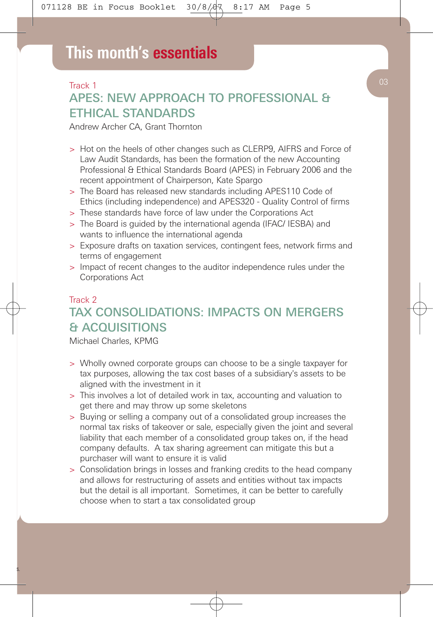#### Track 1

# APES: NEW APPROACH TO PROFESSIONAL & ETHICAL STANDARDS

Andrew Archer CA, Grant Thornton

- > Hot on the heels of other changes such as CLERP9, AIFRS and Force of Law Audit Standards, has been the formation of the new Accounting Professional & Ethical Standards Board (APES) in February 2006 and the recent appointment of Chairperson, Kate Spargo
- > The Board has released new standards including APES110 Code of Ethics (including independence) and APES320 - Quality Control of firms
- > These standards have force of law under the Corporations Act
- > The Board is guided by the international agenda (IFAC/ IESBA) and wants to influence the international agenda
- > Exposure drafts on taxation services, contingent fees, network firms and terms of engagement
- > Impact of recent changes to the auditor independence rules under the Corporations Act

## Track 2 TAX CONSOLIDATIONS: IMPACTS ON MERGERS & ACQUISITIONS

Michael Charles, KPMG

- > Wholly owned corporate groups can choose to be a single taxpayer for tax purposes, allowing the tax cost bases of a subsidiary's assets to be aligned with the investment in it
- > This involves a lot of detailed work in tax, accounting and valuation to get there and may throw up some skeletons
- > Buying or selling a company out of a consolidated group increases the normal tax risks of takeover or sale, especially given the joint and several liability that each member of a consolidated group takes on, if the head company defaults. A tax sharing agreement can mitigate this but a purchaser will want to ensure it is valid
- > Consolidation brings in losses and franking credits to the head company and allows for restructuring of assets and entities without tax impacts but the detail is all important. Sometimes, it can be better to carefully choose when to start a tax consolidated group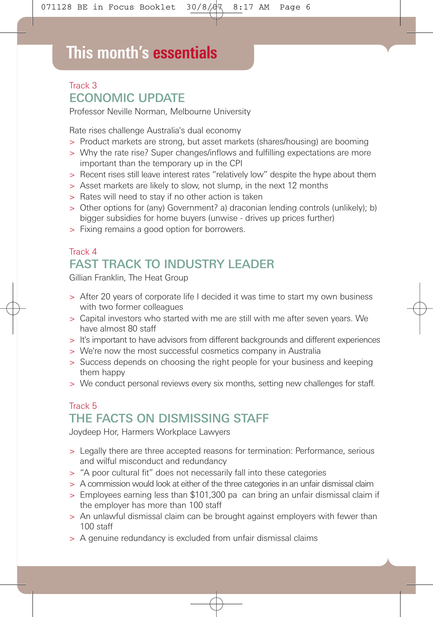# **This month's essentials**

## Track 3 ECONOMIC UPDATE

Professor Neville Norman, Melbourne University

Rate rises challenge Australia's dual economy

- > Product markets are strong, but asset markets (shares/housing) are booming
- > Why the rate rise? Super changes/inflows and fulfilling expectations are more important than the temporary up in the CPI
- > Recent rises still leave interest rates "relatively low" despite the hype about them
- > Asset markets are likely to slow, not slump, in the next 12 months
- > Rates will need to stay if no other action is taken
- > Other options for (any) Government? a) draconian lending controls (unlikely); b) bigger subsidies for home buyers (unwise - drives up prices further)
- > Fixing remains a good option for borrowers.

## Track 4 FAST TRACK TO INDUSTRY LEADER

Gillian Franklin, The Heat Group

- > After 20 years of corporate life I decided it was time to start my own business with two former colleagues
- > Capital investors who started with me are still with me after seven years. We have almost 80 staff
- > It's important to have advisors from different backgrounds and different experiences
- > We're now the most successful cosmetics company in Australia
- > Success depends on choosing the right people for your business and keeping them happy
- > We conduct personal reviews every six months, setting new challenges for staff.

## Track 5 THE FACTS ON DISMISSING STAFF

Joydeep Hor, Harmers Workplace Lawyers

- > Legally there are three accepted reasons for termination: Performance, serious and wilful misconduct and redundancy
- > "A poor cultural fit" does not necessarily fall into these categories
- > A commission would look at either of the three categories in an unfair dismissal claim
- > Employees earning less than \$101,300 pa can bring an unfair dismissal claim if the employer has more than 100 staff
- > An unlawful dismissal claim can be brought against employers with fewer than 100 staff
- > A genuine redundancy is excluded from unfair dismissal claims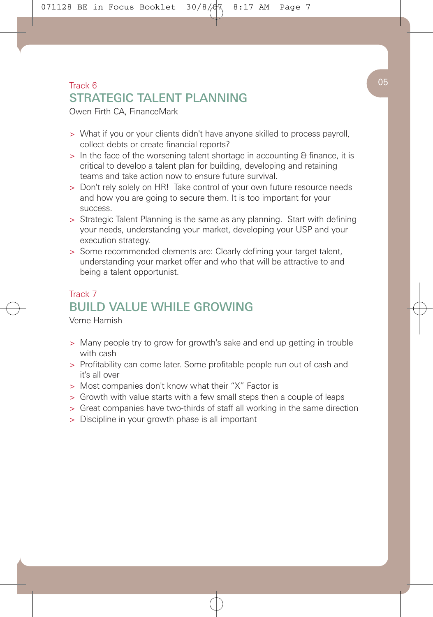## $\begin{pmatrix} 0 & 0 \end{pmatrix}$ STRATEGIC TAI ENT PLANNING

Owen Firth CA, FinanceMark

- > What if you or your clients didn't have anyone skilled to process payroll, collect debts or create financial reports?
- > In the face of the worsening talent shortage in accounting & finance, it is critical to develop a talent plan for building, developing and retaining teams and take action now to ensure future survival.
- > Don't rely solely on HR! Take control of your own future resource needs and how you are going to secure them. It is too important for your success.
- > Strategic Talent Planning is the same as any planning. Start with defining your needs, understanding your market, developing your USP and your execution strategy.
- > Some recommended elements are: Clearly defining your target talent, understanding your market offer and who that will be attractive to and being a talent opportunist.

# Track 7 BUILD VALUE WHILE GROWING

Verne Harnish

- > Many people try to grow for growth's sake and end up getting in trouble with cash
- > Profitability can come later. Some profitable people run out of cash and it's all over
- > Most companies don't know what their "X" Factor is
- > Growth with value starts with a few small steps then a couple of leaps
- > Great companies have two-thirds of staff all working in the same direction
- > Discipline in your growth phase is all important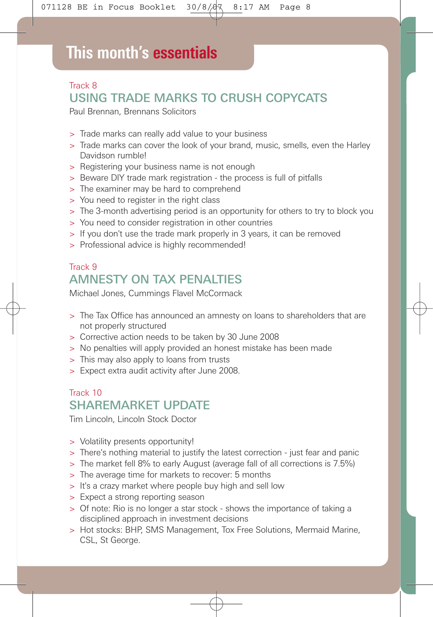# **This month's essentials**

## Track 8 USING TRADE MARKS TO CRUSH COPYCATS

Paul Brennan, Brennans Solicitors

- > Trade marks can really add value to your business
- > Trade marks can cover the look of your brand, music, smells, even the Harley Davidson rumble!
- > Registering your business name is not enough
- > Beware DIY trade mark registration the process is full of pitfalls
- > The examiner may be hard to comprehend
- > You need to register in the right class
- > The 3-month advertising period is an opportunity for others to try to block you
- > You need to consider registration in other countries
- > If you don't use the trade mark properly in 3 years, it can be removed
- > Professional advice is highly recommended!

# Track 9 AMNESTY ON TAX PENALTIES

Michael Jones, Cummings Flavel McCormack

- > The Tax Office has announced an amnesty on loans to shareholders that are not properly structured
- > Corrective action needs to be taken by 30 June 2008
- > No penalties will apply provided an honest mistake has been made
- > This may also apply to loans from trusts
- > Expect extra audit activity after June 2008.

### Track 10 SHAREMARKET UPDATE

Tim Lincoln, Lincoln Stock Doctor

- > Volatility presents opportunity!
- > There's nothing material to justify the latest correction just fear and panic
- > The market fell 8% to early August (average fall of all corrections is 7.5%)
- > The average time for markets to recover: 5 months
- > It's a crazy market where people buy high and sell low
- > Expect a strong reporting season
- > Of note: Rio is no longer a star stock shows the importance of taking a disciplined approach in investment decisions
- > Hot stocks: BHP, SMS Management, Tox Free Solutions, Mermaid Marine, CSL, St George.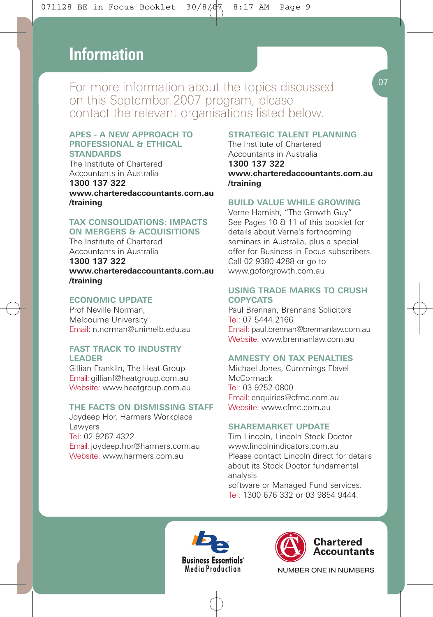# **This month's essentials Information**

For more information about the topics discussed on this September 2007 program, please contact the relevant organisations listed below.

#### **APES - A NEW APPROACH TO PROFESSIONAL & ETHICAL STANDARDS**

The Institute of Chartered Accountants in Australia

**1300 137 322 www.charteredaccountants.com.au /training**

#### **TAX CONSOLIDATIONS: IMPACTS ON MERGERS & ACQUISITIONS**

The Institute of Chartered Accountants in Australia

**1300 137 322 www.charteredaccountants.com.au /training**

#### **ECONOMIC UPDATE**

Prof Neville Norman, Melbourne University Email: n.norman@unimelb.edu.au

#### **FAST TRACK TO INDUSTRY LEADER**

Gillian Franklin, The Heat Group Email: gillianf@heatgroup.com.au Website: www.heatgroup.com.au

#### **THE FACTS ON DISMISSING STAFF**

Joydeep Hor, Harmers Workplace Lawyers Tel: 02 9267 4322 Email: joydeep.hor@harmers.com.au Website: www.harmers.com.au

#### **STRATEGIC TALENT PLANNING**

The Institute of Chartered Accountants in Australia **1300 137 322 www.charteredaccountants.com.au /training**

#### **BUILD VALUE WHILE GROWING**

Verne Harnish, "The Growth Guy" See Pages 10 & 11 of this booklet for details about Verne's forthcoming seminars in Australia, plus a special offer for Business in Focus subscribers. Call 02 9380 4288 or go to www.goforgrowth.com.au

#### **USING TRADE MARKS TO CRUSH COPYCATS**

Paul Brennan, Brennans Solicitors Tel: 07 5444 2166 Email: paul.brennan@brennanlaw.com.au Website: www.brennanlaw.com.au.

#### **AMNESTY ON TAX PENALTIES**

Michael Jones, Cummings Flavel **McCormack** Tel: 03 9252 0800 Email: enquiries@cfmc.com.au Website: www.cfmc.com.au

#### **SHAREMARKET UPDATE**

Tim Lincoln, Lincoln Stock Doctor www.lincolnindicators.com.au Please contact Lincoln direct for details about its Stock Doctor fundamental analysis software or Managed Fund services.

Tel: 1300 676 332 or 03 9854 9444.







07

NUMBER ONE IN NUMBERS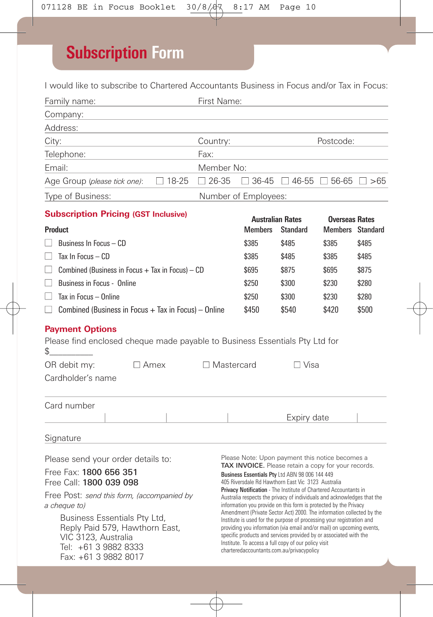# **Subscription Form**

I would like to subscribe to Chartered Accountants Business in Focus and/or Tax in Focus:

| Family name:                                                                                                                                                                                                                                                                                   |                                           | First Name:     |                                                                                                                                                                                                                                                                                                                                                                                                                                                                                                                                                                                                                                                                                                                                                                                                                                        |                                                   |       |       |  |
|------------------------------------------------------------------------------------------------------------------------------------------------------------------------------------------------------------------------------------------------------------------------------------------------|-------------------------------------------|-----------------|----------------------------------------------------------------------------------------------------------------------------------------------------------------------------------------------------------------------------------------------------------------------------------------------------------------------------------------------------------------------------------------------------------------------------------------------------------------------------------------------------------------------------------------------------------------------------------------------------------------------------------------------------------------------------------------------------------------------------------------------------------------------------------------------------------------------------------------|---------------------------------------------------|-------|-------|--|
| Company:                                                                                                                                                                                                                                                                                       |                                           |                 |                                                                                                                                                                                                                                                                                                                                                                                                                                                                                                                                                                                                                                                                                                                                                                                                                                        |                                                   |       |       |  |
| Address:                                                                                                                                                                                                                                                                                       |                                           |                 |                                                                                                                                                                                                                                                                                                                                                                                                                                                                                                                                                                                                                                                                                                                                                                                                                                        |                                                   |       |       |  |
| City:<br>Country:                                                                                                                                                                                                                                                                              |                                           |                 |                                                                                                                                                                                                                                                                                                                                                                                                                                                                                                                                                                                                                                                                                                                                                                                                                                        | Postcode:                                         |       |       |  |
| Telephone:                                                                                                                                                                                                                                                                                     | Fax:                                      |                 |                                                                                                                                                                                                                                                                                                                                                                                                                                                                                                                                                                                                                                                                                                                                                                                                                                        |                                                   |       |       |  |
| Email:<br>Member No:                                                                                                                                                                                                                                                                           |                                           |                 |                                                                                                                                                                                                                                                                                                                                                                                                                                                                                                                                                                                                                                                                                                                                                                                                                                        |                                                   |       |       |  |
| Age Group (please tick one):                                                                                                                                                                                                                                                                   | $\Box$ 18-25                              | $\Box$ 26-35    |                                                                                                                                                                                                                                                                                                                                                                                                                                                                                                                                                                                                                                                                                                                                                                                                                                        | $\Box$ 36-45 $\Box$ 46-55 $\Box$ 56-65 $\Box$ >65 |       |       |  |
| Type of Business:<br>Number of Employees:                                                                                                                                                                                                                                                      |                                           |                 |                                                                                                                                                                                                                                                                                                                                                                                                                                                                                                                                                                                                                                                                                                                                                                                                                                        |                                                   |       |       |  |
| <b>Subscription Pricing (GST Inclusive)</b>                                                                                                                                                                                                                                                    |                                           |                 |                                                                                                                                                                                                                                                                                                                                                                                                                                                                                                                                                                                                                                                                                                                                                                                                                                        |                                                   |       |       |  |
| Product                                                                                                                                                                                                                                                                                        | <b>Australian Rates</b><br><b>Members</b> | <b>Standard</b> | <b>Overseas Rates</b><br><b>Members</b> Standard                                                                                                                                                                                                                                                                                                                                                                                                                                                                                                                                                                                                                                                                                                                                                                                       |                                                   |       |       |  |
| Business In Focus - CD                                                                                                                                                                                                                                                                         | \$385                                     | \$485           | \$385                                                                                                                                                                                                                                                                                                                                                                                                                                                                                                                                                                                                                                                                                                                                                                                                                                  | \$485                                             |       |       |  |
| Tax In Focus $-$ CD<br>H                                                                                                                                                                                                                                                                       | \$385                                     | \$485           | \$385                                                                                                                                                                                                                                                                                                                                                                                                                                                                                                                                                                                                                                                                                                                                                                                                                                  | \$485                                             |       |       |  |
| Combined (Business in Focus $+$ Tax in Focus) $-$ CD<br>$\mathsf{L}$                                                                                                                                                                                                                           | \$695                                     | \$875           | \$695                                                                                                                                                                                                                                                                                                                                                                                                                                                                                                                                                                                                                                                                                                                                                                                                                                  | \$875                                             |       |       |  |
| $\mathsf{L}$<br>Business in Focus - Online                                                                                                                                                                                                                                                     | \$250                                     | \$300           | \$230                                                                                                                                                                                                                                                                                                                                                                                                                                                                                                                                                                                                                                                                                                                                                                                                                                  | \$280                                             |       |       |  |
| Tax in Focus - Online<br>$\mathsf{L}$                                                                                                                                                                                                                                                          | \$250                                     | \$300           | \$230                                                                                                                                                                                                                                                                                                                                                                                                                                                                                                                                                                                                                                                                                                                                                                                                                                  | \$280                                             |       |       |  |
| $\Box$ Combined (Business in Focus + Tax in Focus) – Online<br>\$450                                                                                                                                                                                                                           |                                           |                 |                                                                                                                                                                                                                                                                                                                                                                                                                                                                                                                                                                                                                                                                                                                                                                                                                                        | \$540                                             | \$420 | \$500 |  |
| <b>Payment Options</b><br>Please find enclosed cheque made payable to Business Essentials Pty Ltd for<br>\$<br>OR debit my:<br>$\Box$ Amex<br>$\Box$ Mastercard<br>$\Box$ Visa<br>Cardholder's name                                                                                            |                                           |                 |                                                                                                                                                                                                                                                                                                                                                                                                                                                                                                                                                                                                                                                                                                                                                                                                                                        |                                                   |       |       |  |
| Card number                                                                                                                                                                                                                                                                                    |                                           |                 |                                                                                                                                                                                                                                                                                                                                                                                                                                                                                                                                                                                                                                                                                                                                                                                                                                        |                                                   |       |       |  |
|                                                                                                                                                                                                                                                                                                |                                           |                 |                                                                                                                                                                                                                                                                                                                                                                                                                                                                                                                                                                                                                                                                                                                                                                                                                                        | Expiry date                                       |       |       |  |
| Signature                                                                                                                                                                                                                                                                                      |                                           |                 |                                                                                                                                                                                                                                                                                                                                                                                                                                                                                                                                                                                                                                                                                                                                                                                                                                        |                                                   |       |       |  |
| Please send your order details to:<br>Free Fax: 1800 656 351<br>Free Call: 1800 039 098<br>Free Post: send this form, (accompanied by<br>a cheque to)<br>Business Essentials Pty Ltd,<br>Reply Paid 579, Hawthorn East,<br>VIC 3123, Australia<br>Tel: +61 3 9882 8333<br>Fax: +61 3 9882 8017 |                                           |                 | Please Note: Upon payment this notice becomes a<br>TAX INVOICE. Please retain a copy for your records.<br>Business Essentials Pty Ltd ABN 98 006 144 449<br>405 Riversdale Rd Hawthorn East Vic 3123 Australia<br>Privacy Notification - The Institute of Chartered Accountants in<br>Australia respects the privacy of individuals and acknowledges that the<br>information you provide on this form is protected by the Privacy<br>Amendment (Private Sector Act) 2000. The information collected by the<br>Institute is used for the purpose of processing your registration and<br>providing you information (via email and/or mail) on upcoming events,<br>specific products and services provided by or associated with the<br>Institute. To access a full copy of our policy visit<br>charteredaccountants.com.au/privacypolicy |                                                   |       |       |  |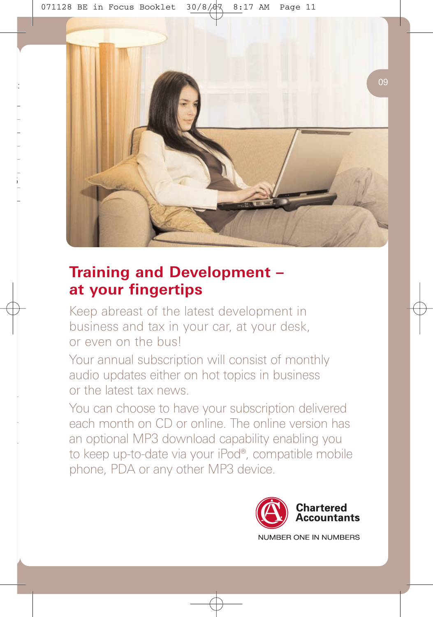

# **Training and Development – at your fingertips**

Keep abreast of the latest development in business and tax in your car, at your desk, or even on the bus!

Your annual subscription will consist of monthly audio updates either on hot topics in business or the latest tax news.

You can choose to have your subscription delivered each month on CD or online. The online version has an optional MP3 download capability enabling you to keep up-to-date via your iPod®, compatible mobile phone, PDA or any other MP3 device.

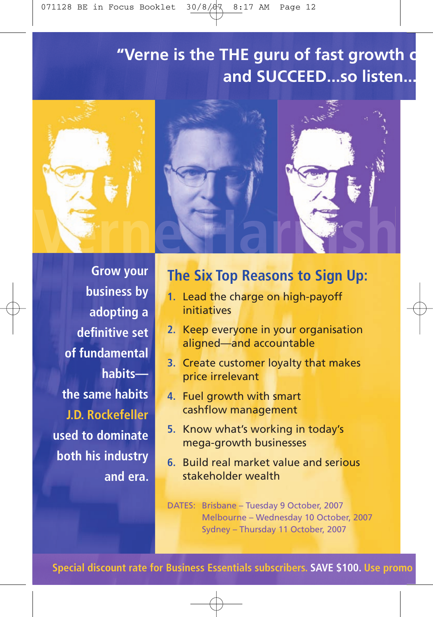# "Verne is the THE guru of fast growth and **SUCCEED...so** lister



**Grow your business by adopting a**  definitive set **of fundamental habits the same habits J.D. Rockefeller used to dominate both his industry and era.**

# **The Six Top Reasons to Sign Up:**

- **1.** Lead the charge on high-payoff initiatives
- **2.** Keep everyone in your organisation aligned—and accountable
- **3.** Create customer loyalty that makes price irrelevant
- **4.** Fuel growth with smart cashflow management
- **5.** Know what's working in today's mega-growth businesses
- **6.** Build real market value and serious stakeholder wealth

DATES: Brisbane – Tuesday 9 October, 2007 Melbourne – Wednesday 10 October, 2007 Sydney – Thursday 11 October, 2007

**Special discount rate for Business Essentials subscribers. <b>SAVE \$100.** Use promo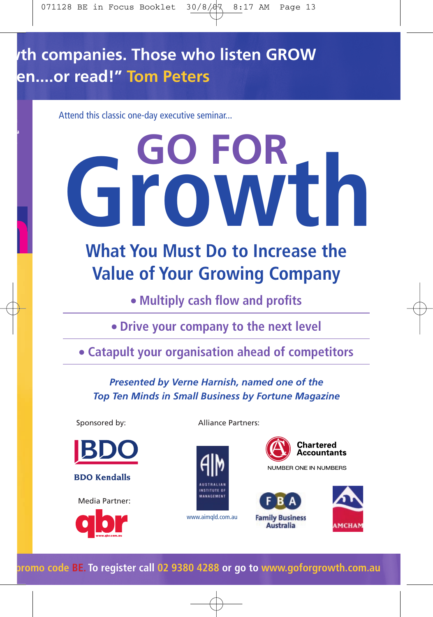# **n** companies. Those who listen GROW **a....or read!" Tom Peters**

Attend this classic one-day executive seminar...

# **GO FOR Growth**

# **What You Must Do to Increase the Value of Your Growing Company**

**• Multiply cash flow and profits** 

**Drive your company to the next level**

**Catapult your organisation ahead of competitors**

*Presented by Verne Harnish, named one of the Top Ten Minds in Small Business by Fortune Magazine*



Sponsored by:

**BDO Kendalls** 

Media Partner:



Alliance Partners:



www.aimqld.com.au

Chartered Accountants

**NUMBER ONE IN NUMBERS** 





**Special discount rate for Business Essentials subscribers. SAVE \$100. Use promo code BE. To register call 02 9380 4288 or go to www.goforgrowth.com.au**